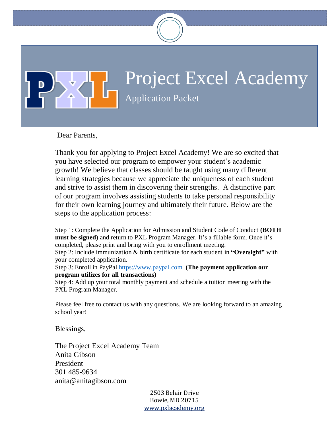

# Project Excel Academy Application Packet

Dear Parents,

Thank you for applying to Project Excel Academy! We are so excited that you have selected our program to empower your student's academic growth! We believe that classes should be taught using many different learning strategies because we appreciate the uniqueness of each student and strive to assist them in discovering their strengths. A distinctive part of our program involves assisting students to take personal responsibility for their own learning journey and ultimately their future. Below are the steps to the application process:

Step 1: Complete the Application for Admission and Student Code of Conduct **(BOTH must be signed)** and return to PXL Program Manager. It's a fillable form. Once it's completed, please print and bring with you to enrollment meeting. Step 2: Include immunization & birth certificate for each student in **"Oversight"** with your completed application.

Step 3: Enroll in PayPal [https://www.paypal.com](https://www.paypal.com/) **(The payment application our program utilizes for all transactions)**

Step 4: Add up your total monthly payment and schedule a tuition meeting with the PXL Program Manager.

Please feel free to contact us with any questions. We are looking forward to an amazing school year!

Blessings,

The Project Excel Academy Team Anita Gibson President 301 485-9634 anita@anitagibson.com

> 2503 Belair Drive Bowie, MD 20715 [www.pxlacademy.org](http://www.pxlacademy.org/)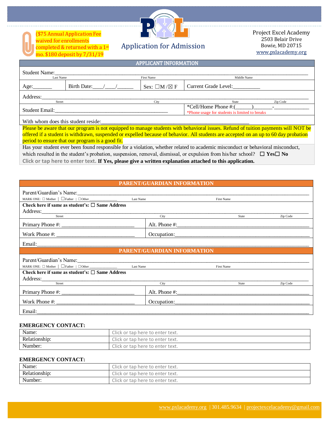

(\$75 Annual Application Fee waived for enrollments completed & returned with a 1<sup>st</sup> mo. \$180 deposit by 7/31/19

Project Excel Academy 2503 Belair Drive Bowie, MD 20715 [www.pxlacademy.org](http://www.pxlacademy.org/)

APPLICANT INFORMATION

| <b>Student Name:</b><br>Last Name                                                                                                       |             | First Name             | Middle Name                                                            |          |
|-----------------------------------------------------------------------------------------------------------------------------------------|-------------|------------------------|------------------------------------------------------------------------|----------|
| Age:                                                                                                                                    | Birth Date: | Sex: $\Box M / \Box F$ | Current Grade Level:                                                   |          |
| Address:                                                                                                                                |             |                        |                                                                        |          |
| Street                                                                                                                                  |             | City                   | <b>State</b>                                                           | Zip Code |
| Student Email:                                                                                                                          |             |                        | *Cell/Home Phone #:(<br>*Phone usage for students is limited to breaks |          |
| With whom does this student reside:                                                                                                     |             |                        |                                                                        |          |
| Please be aware that our program is not equipped to manage students with behavioral issues. Refund of tuition payments will NOT be      |             |                        |                                                                        |          |
| offered if a student is withdrawn, suspended or expelled because of behavior. All students are accepted on an up to 60 day probation    |             |                        |                                                                        |          |
| period to ensure that our program is a good fit.                                                                                        |             |                        |                                                                        |          |
| Has your student ever been found responsible for a violation, whether related to academic misconduct or behavioral misconduct,          |             |                        |                                                                        |          |
| which resulted in the student's probation, suspension, removal, dismissal, or expulsion from his/her school? $\square$ Yes $\square$ No |             |                        |                                                                        |          |
|                                                                                                                                         |             |                        |                                                                        |          |

**Click or tap here to enter text. If Yes, please give a written explanation attached to this application.**

| PARENT/GUARDIAN INFORMATION                                                                                                                                                                                                                                                                      |                             |       |          |  |  |
|--------------------------------------------------------------------------------------------------------------------------------------------------------------------------------------------------------------------------------------------------------------------------------------------------|-----------------------------|-------|----------|--|--|
|                                                                                                                                                                                                                                                                                                  |                             |       |          |  |  |
| $\text{MARK ONE: } \Box \text{ Mother } \vert \text{ } \overline{\Box} \text{ Father } \text{ } \vert \text{ } \overline{\Box} \text{Other } \underline{\text{ } \underline{\hspace{1cm}} \text{Other } \underline{\hspace{1cm}} \text{ } } \text{ } \underline{\hspace{1cm}} \text{Last Name }$ | First Name                  |       |          |  |  |
| Check here if same as student's: $\square$ Same Address                                                                                                                                                                                                                                          |                             |       |          |  |  |
| Address: <u>Address</u> and the anti-                                                                                                                                                                                                                                                            |                             |       |          |  |  |
| Street                                                                                                                                                                                                                                                                                           | City                        | State | Zip Code |  |  |
|                                                                                                                                                                                                                                                                                                  |                             |       |          |  |  |
|                                                                                                                                                                                                                                                                                                  |                             |       |          |  |  |
| Email:                                                                                                                                                                                                                                                                                           |                             |       |          |  |  |
|                                                                                                                                                                                                                                                                                                  | PARENT/GUARDIAN INFORMATION |       |          |  |  |
|                                                                                                                                                                                                                                                                                                  |                             |       |          |  |  |
|                                                                                                                                                                                                                                                                                                  | <b>First Name</b>           |       |          |  |  |
| Check here if same as student's: $\square$ Same Address                                                                                                                                                                                                                                          |                             |       |          |  |  |
|                                                                                                                                                                                                                                                                                                  |                             |       |          |  |  |
| Street                                                                                                                                                                                                                                                                                           | City                        | State | Zip Code |  |  |
|                                                                                                                                                                                                                                                                                                  |                             |       |          |  |  |
|                                                                                                                                                                                                                                                                                                  |                             |       |          |  |  |
| Email:                                                                                                                                                                                                                                                                                           |                             |       |          |  |  |

#### **EMERGENCY CONTACT:**

| Name:         | Click or tap here to enter text. |
|---------------|----------------------------------|
| Relationship: | Click or tap here to enter text. |
| Number:       | Click or tap here to enter text. |

#### **EMERGENCY CONTACT:**

| Name:         | Click or tap here to enter text. |
|---------------|----------------------------------|
| Relationship: | Click or tap here to enter text. |
| Number:       | Click or tap here to enter text. |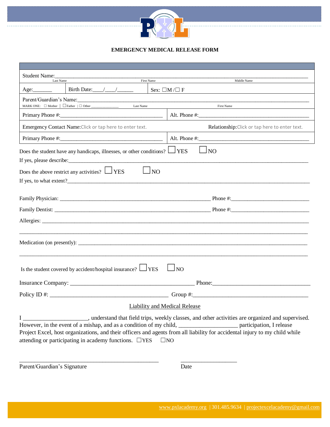

### **EMERGENCY MEDICAL RELEASE FORM**

| <b>Student Name:</b>        |                                                                                                                                                                                                                                                                                                       | First Name | Middle Name                                                                                                                                                                                                                                          |
|-----------------------------|-------------------------------------------------------------------------------------------------------------------------------------------------------------------------------------------------------------------------------------------------------------------------------------------------------|------------|------------------------------------------------------------------------------------------------------------------------------------------------------------------------------------------------------------------------------------------------------|
| Last Name<br>Age:           | Birth Date: $\angle$ $\angle$ $\angle$                                                                                                                                                                                                                                                                |            | Sex: $\square M / \square F$                                                                                                                                                                                                                         |
|                             |                                                                                                                                                                                                                                                                                                       |            |                                                                                                                                                                                                                                                      |
|                             |                                                                                                                                                                                                                                                                                                       | Last Name  | First Name                                                                                                                                                                                                                                           |
|                             |                                                                                                                                                                                                                                                                                                       |            |                                                                                                                                                                                                                                                      |
|                             | Emergency Contact Name: Click or tap here to enter text.                                                                                                                                                                                                                                              |            | Relationship: Click or tap here to enter text.                                                                                                                                                                                                       |
|                             |                                                                                                                                                                                                                                                                                                       |            |                                                                                                                                                                                                                                                      |
|                             | Does the student have any handicaps, illnesses, or other conditions?                                                                                                                                                                                                                                  |            | $\sqcup$ YES<br> NO                                                                                                                                                                                                                                  |
|                             |                                                                                                                                                                                                                                                                                                       |            |                                                                                                                                                                                                                                                      |
|                             | Does the above restrict any activities? $\Box$ YES                                                                                                                                                                                                                                                    | <b>NO</b>  |                                                                                                                                                                                                                                                      |
|                             |                                                                                                                                                                                                                                                                                                       |            |                                                                                                                                                                                                                                                      |
|                             |                                                                                                                                                                                                                                                                                                       |            |                                                                                                                                                                                                                                                      |
|                             |                                                                                                                                                                                                                                                                                                       |            |                                                                                                                                                                                                                                                      |
|                             |                                                                                                                                                                                                                                                                                                       |            |                                                                                                                                                                                                                                                      |
|                             | Allergies: experience and the contract of the contract of the contract of the contract of the contract of the contract of the contract of the contract of the contract of the contract of the contract of the contract of the                                                                         |            |                                                                                                                                                                                                                                                      |
|                             |                                                                                                                                                                                                                                                                                                       |            |                                                                                                                                                                                                                                                      |
|                             |                                                                                                                                                                                                                                                                                                       |            |                                                                                                                                                                                                                                                      |
|                             | Is the student covered by accident/hospital insurance? $\Box$ YES                                                                                                                                                                                                                                     |            | NO <sub>1</sub>                                                                                                                                                                                                                                      |
|                             |                                                                                                                                                                                                                                                                                                       |            | Phone: 2008                                                                                                                                                                                                                                          |
|                             | Policy ID #: $\frac{1}{2}$ = $\frac{1}{2}$ = $\frac{1}{2}$ = $\frac{1}{2}$ = $\frac{1}{2}$ = $\frac{1}{2}$ = $\frac{1}{2}$ = $\frac{1}{2}$ = $\frac{1}{2}$ = $\frac{1}{2}$ = $\frac{1}{2}$ = $\frac{1}{2}$ = $\frac{1}{2}$ = $\frac{1}{2}$ = $\frac{1}{2}$ = $\frac{1}{2}$ = $\frac{1}{2}$ = $\frac{$ |            |                                                                                                                                                                                                                                                      |
|                             |                                                                                                                                                                                                                                                                                                       |            | Liability and Medical Release                                                                                                                                                                                                                        |
|                             |                                                                                                                                                                                                                                                                                                       |            | understand that field trips, weekly classes, and other activities are organized and supervised.                                                                                                                                                      |
|                             |                                                                                                                                                                                                                                                                                                       |            | However, in the event of a mishap, and as a condition of my child, _________________________ participation, I release<br>Project Excel, host organizations, and their officers and agents from all liability for accidental injury to my child while |
|                             | attending or participating in academy functions. $\Box$ YES                                                                                                                                                                                                                                           |            | $\square$ NO                                                                                                                                                                                                                                         |
|                             |                                                                                                                                                                                                                                                                                                       |            |                                                                                                                                                                                                                                                      |
| Parent/Guardian's Signature |                                                                                                                                                                                                                                                                                                       |            | Date                                                                                                                                                                                                                                                 |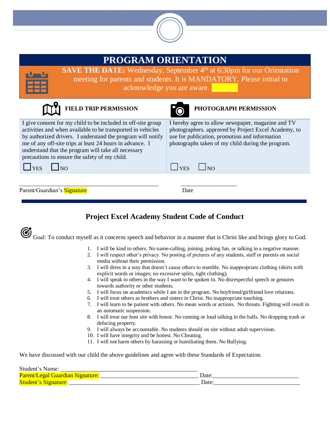

| PROGRAM ORIENTATION                                                                                                                                                                                                                                                                                                                                            |                                                                                                                                                                                                                   |  |  |  |
|----------------------------------------------------------------------------------------------------------------------------------------------------------------------------------------------------------------------------------------------------------------------------------------------------------------------------------------------------------------|-------------------------------------------------------------------------------------------------------------------------------------------------------------------------------------------------------------------|--|--|--|
| <b>SAVE THE DATE:</b> Wednesday, September 4 <sup>th</sup> at 6:30pm for our Orientation<br>meeting for parents and students. It is MANDATORY. Please initial to<br>acknowledge you are aware.                                                                                                                                                                 |                                                                                                                                                                                                                   |  |  |  |
| <b>FIELD TRIP PERMISSION</b>                                                                                                                                                                                                                                                                                                                                   | PHOTOGRAPH PERMISSION                                                                                                                                                                                             |  |  |  |
| I give consent for my child to be included in off-site group<br>activities and when available to be transported in vehicles<br>by authorized drivers. I understand the program will notify<br>me of any off-site trips at least 24 hours in advance. I<br>understand that the program will take all necessary<br>precautions to ensure the safety of my child. | I hereby agree to allow newspaper, magazine and TV<br>photographers. approved by Project Excel Academy, to<br>use for publication, promotion and information<br>photographs taken of my child during the program. |  |  |  |
| $\log$<br>$\overline{\text{YES}}$                                                                                                                                                                                                                                                                                                                              | $\Box$ YES<br>N()                                                                                                                                                                                                 |  |  |  |
|                                                                                                                                                                                                                                                                                                                                                                |                                                                                                                                                                                                                   |  |  |  |
| Parent/Guardian's Signature                                                                                                                                                                                                                                                                                                                                    | Date                                                                                                                                                                                                              |  |  |  |

## **Project Excel Academy Student Code of Conduct**

 $\circledG$ Goal: To conduct myself as it concerns speech and behavior in a manner that is Christ like and brings glory to God.

- 1. I will be kind to others. No name-calling, joining, poking fun, or talking in a negative manner.
- 2. I will respect other's privacy. No posting of pictures of any students, staff or parents on social media without their permission.
- 3. I will dress in a way that doesn't cause others to stumble. No inappropriate clothing (shirts with explicit words or images; no excessive splits, tight clothing).
- 4. I will speak to others in the way I want to be spoken to. No disrespectful speech or gestures towards authority or other students.
- 5. I will focus on academics while I am in the program. No boyfriend/girlfriend love relations.
- 6. I will treat others as brothers and sisters in Christ. No inappropriate touching.
- 7. I will learn to be patient with others. No mean words or actions. No threats. Fighting will result in an automatic suspension.
- 8. I will treat our host site with honor. No running or loud talking in the halls. No dropping trash or defacing property.
- 9. I will always be accountable. No students should on site without adult supervision.
- 10. I will have integrity and be honest. No Cheating.
- 11. I will not harm others by harassing or humiliating them. No Bullying.

We have discussed with our child the above guidelines and agree with these Standards of Expectation.

| Student's Name:                  |                   |
|----------------------------------|-------------------|
| Parent/Legal Guardian Signature: | Date:             |
| <b>Student's Signature:</b>      | Date <sup>.</sup> |